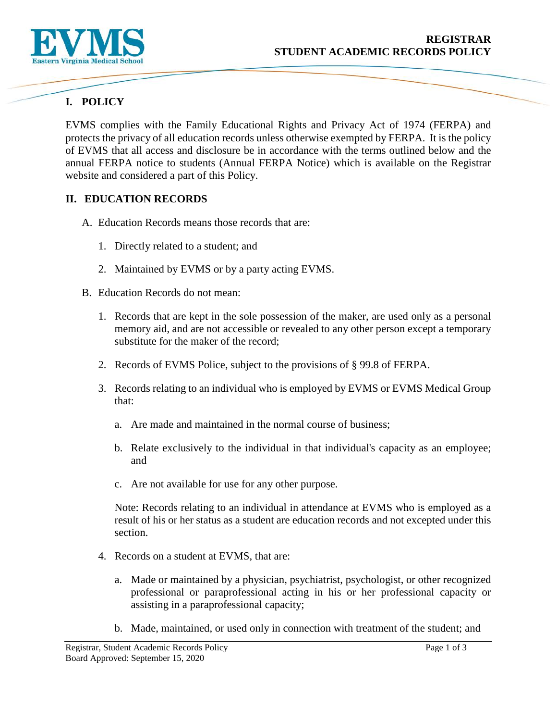

# **I. POLICY**

EVMS complies with the Family Educational Rights and Privacy Act of 1974 (FERPA) and protects the privacy of all education records unless otherwise exempted by FERPA. It is the policy of EVMS that all access and disclosure be in accordance with the terms outlined below and the annual FERPA notice to students (Annual FERPA Notice) which is available on the Registrar website and considered a part of this Policy.

#### **II. EDUCATION RECORDS**

- A. Education Records means those records that are:
	- 1. Directly related to a student; and
	- 2. Maintained by EVMS or by a party acting EVMS.
- B. Education Records do not mean:
	- 1. Records that are kept in the sole possession of the maker, are used only as a personal memory aid, and are not accessible or revealed to any other person except a temporary substitute for the maker of the record;
	- 2. Records of EVMS Police, subject to the provisions of § 99.8 of FERPA.
	- 3. Records relating to an individual who is employed by EVMS or EVMS Medical Group that:
		- a. Are made and maintained in the normal course of business;
		- b. Relate exclusively to the individual in that individual's capacity as an employee; and
		- c. Are not available for use for any other purpose.

Note: Records relating to an individual in attendance at EVMS who is employed as a result of his or her status as a student are education records and not excepted under this section.

- 4. Records on a student at EVMS, that are:
	- a. Made or maintained by a physician, psychiatrist, psychologist, or other recognized professional or paraprofessional acting in his or her professional capacity or assisting in a paraprofessional capacity;
	- b. Made, maintained, or used only in connection with treatment of the student; and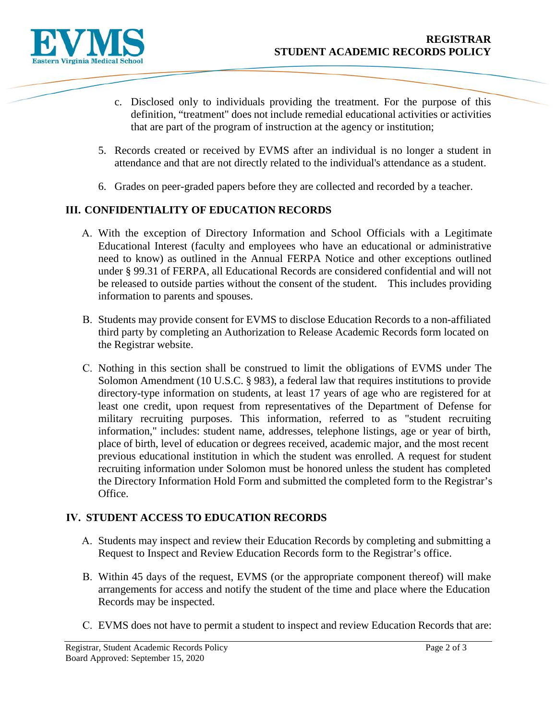

- c. Disclosed only to individuals providing the treatment. For the purpose of this definition, "treatment" does not include remedial educational activities or activities that are part of the program of instruction at the agency or institution;
- 5. Records created or received by EVMS after an individual is no longer a student in attendance and that are not directly related to the individual's attendance as a student.
- 6. Grades on peer-graded papers before they are collected and recorded by a teacher.

## **III. CONFIDENTIALITY OF EDUCATION RECORDS**

- A. With the exception of Directory Information and School Officials with a Legitimate Educational Interest (faculty and employees who have an educational or administrative need to know) as outlined in the Annual FERPA Notice and other exceptions outlined under § 99.31 of FERPA, all Educational Records are considered confidential and will not be released to outside parties without the consent of the student. This includes providing information to parents and spouses.
- B. Students may provide consent for EVMS to disclose Education Records to a non-affiliated third party by completing an Authorization to Release Academic Records form located on the Registrar website.
- C. Nothing in this section shall be construed to limit the obligations of EVMS under The Solomon Amendment (10 U.S.C. § 983), a federal law that requires institutions to provide directory-type information on students, at least 17 years of age who are registered for at least one credit, upon request from representatives of the Department of Defense for military recruiting purposes. This information, referred to as "student recruiting information," includes: student name, addresses, telephone listings, age or year of birth, place of birth, level of education or degrees received, academic major, and the most recent previous educational institution in which the student was enrolled. A request for student recruiting information under Solomon must be honored unless the student has completed the Directory Information Hold Form and submitted the completed form to the Registrar's Office.

#### **IV. STUDENT ACCESS TO EDUCATION RECORDS**

- A. Students may inspect and review their Education Records by completing and submitting a Request to Inspect and Review Education Records form to the Registrar's office.
- B. Within 45 days of the request, EVMS (or the appropriate component thereof) will make arrangements for access and notify the student of the time and place where the Education Records may be inspected.
- C. EVMS does not have to permit a student to inspect and review Education Records that are: